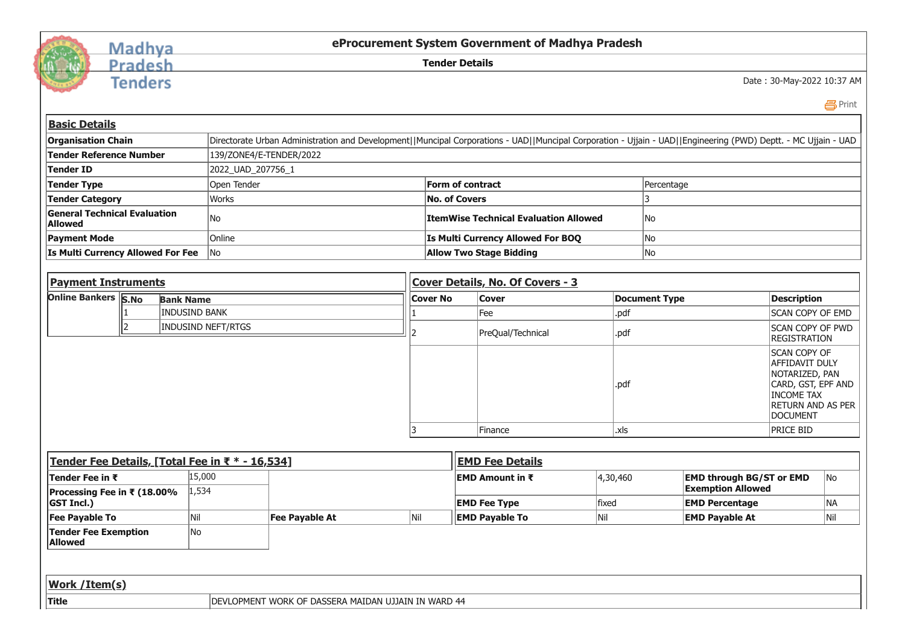

## Madhya<br>Pradesh

**Tenders** 

**eProcurement System Government of Madhya Pradesh**

**Tender Details**

Date : 30-May-2022 10:37 AM

Print

| <b>Basic Details</b>                                                                                                                                                                        |                                            |                                                     |     |                  |                                              |            |                       |                                                             |                                                                                                                                            |           |  |
|---------------------------------------------------------------------------------------------------------------------------------------------------------------------------------------------|--------------------------------------------|-----------------------------------------------------|-----|------------------|----------------------------------------------|------------|-----------------------|-------------------------------------------------------------|--------------------------------------------------------------------------------------------------------------------------------------------|-----------|--|
| <b>Organisation Chain</b><br>Directorate Urban Administration and Development  Muncipal Corporations - UAD  Muncipal Corporation - Ujjain - UAD  Engineering (PWD) Deptt. - MC Ujjain - UAD |                                            |                                                     |     |                  |                                              |            |                       |                                                             |                                                                                                                                            |           |  |
| <b>Tender Reference Number</b><br>139/ZONE4/E-TENDER/2022                                                                                                                                   |                                            |                                                     |     |                  |                                              |            |                       |                                                             |                                                                                                                                            |           |  |
| <b>Tender ID</b>                                                                                                                                                                            | 2022_UAD_207756_1                          |                                                     |     |                  |                                              |            |                       |                                                             |                                                                                                                                            |           |  |
| <b>Tender Type</b><br>Open Tender                                                                                                                                                           |                                            |                                                     |     | Form of contract |                                              | Percentage |                       |                                                             |                                                                                                                                            |           |  |
| <b>Tender Category</b>                                                                                                                                                                      | <b>Works</b><br><b>No. of Covers</b><br>13 |                                                     |     |                  |                                              |            |                       |                                                             |                                                                                                                                            |           |  |
| <b>General Technical Evaluation</b><br><b>Allowed</b>                                                                                                                                       | No                                         |                                                     |     |                  | <b>ItemWise Technical Evaluation Allowed</b> |            | No                    |                                                             |                                                                                                                                            |           |  |
| <b>Payment Mode</b>                                                                                                                                                                         | Online                                     |                                                     |     |                  | Is Multi Currency Allowed For BOQ            | No         |                       |                                                             |                                                                                                                                            |           |  |
| Is Multi Currency Allowed For Fee                                                                                                                                                           | No                                         |                                                     |     |                  | <b>Allow Two Stage Bidding</b>               |            | No                    |                                                             |                                                                                                                                            |           |  |
|                                                                                                                                                                                             |                                            |                                                     |     |                  |                                              |            |                       |                                                             |                                                                                                                                            |           |  |
| <b>Payment Instruments</b>                                                                                                                                                                  |                                            |                                                     |     |                  | Cover Details, No. Of Covers - 3             |            |                       |                                                             |                                                                                                                                            |           |  |
| Online Bankers S.No<br><b>Bank Name</b>                                                                                                                                                     |                                            |                                                     |     |                  | <b>Cover</b>                                 |            | <b>Document Type</b>  |                                                             | <b>Description</b>                                                                                                                         |           |  |
|                                                                                                                                                                                             | <b>INDUSIND BANK</b>                       |                                                     |     |                  | Fee                                          | .pdf       |                       |                                                             | SCAN COPY OF EMD                                                                                                                           |           |  |
| l2.                                                                                                                                                                                         | <b>INDUSIND NEFT/RTGS</b>                  |                                                     |     |                  | PreQual/Technical                            | .pdf       |                       |                                                             | SCAN COPY OF PWD<br><b>REGISTRATION</b>                                                                                                    |           |  |
|                                                                                                                                                                                             |                                            |                                                     |     |                  |                                              | .pdf       |                       |                                                             | <b>SCAN COPY OF</b><br>AFFIDAVIT DULY<br>NOTARIZED, PAN<br>CARD, GST, EPF AND<br><b>INCOME TAX</b><br>RETURN AND AS PER<br><b>DOCUMENT</b> |           |  |
|                                                                                                                                                                                             |                                            |                                                     | 3   |                  | Finance<br>.xls                              |            |                       | PRICE BID                                                   |                                                                                                                                            |           |  |
|                                                                                                                                                                                             |                                            |                                                     |     |                  |                                              |            |                       |                                                             |                                                                                                                                            |           |  |
| Tender Fee Details, [Total Fee in ₹ * - 16,534]                                                                                                                                             |                                            |                                                     |     |                  | <b>EMD Fee Details</b>                       |            |                       |                                                             |                                                                                                                                            |           |  |
| Tender Fee in ₹<br>Processing Fee in ₹ (18.00%                                                                                                                                              | 15,000<br>1,534                            |                                                     |     |                  | <b>EMD Amount in <math>\bar{\tau}</math></b> | 4,30,460   |                       | <b>EMD through BG/ST or EMD</b><br><b>Exemption Allowed</b> |                                                                                                                                            | No        |  |
| <b>GST Incl.)</b>                                                                                                                                                                           |                                            |                                                     |     |                  | fixed<br><b>EMD Fee Type</b>                 |            | <b>EMD Percentage</b> |                                                             |                                                                                                                                            | <b>NA</b> |  |
| <b>Fee Payable To</b>                                                                                                                                                                       | Nil                                        | Fee Payable At                                      | Nil |                  | <b>EMD Payable To</b>                        | Nil        | <b>EMD Payable At</b> |                                                             |                                                                                                                                            | Nil       |  |
| <b>Tender Fee Exemption</b><br><b>Allowed</b>                                                                                                                                               | No                                         |                                                     |     |                  |                                              |            |                       |                                                             |                                                                                                                                            |           |  |
|                                                                                                                                                                                             |                                            |                                                     |     |                  |                                              |            |                       |                                                             |                                                                                                                                            |           |  |
| Work / Item(s)                                                                                                                                                                              |                                            |                                                     |     |                  |                                              |            |                       |                                                             |                                                                                                                                            |           |  |
| <b>Title</b>                                                                                                                                                                                |                                            | DEVLOPMENT WORK OF DASSERA MAIDAN UJJAIN IN WARD 44 |     |                  |                                              |            |                       |                                                             |                                                                                                                                            |           |  |